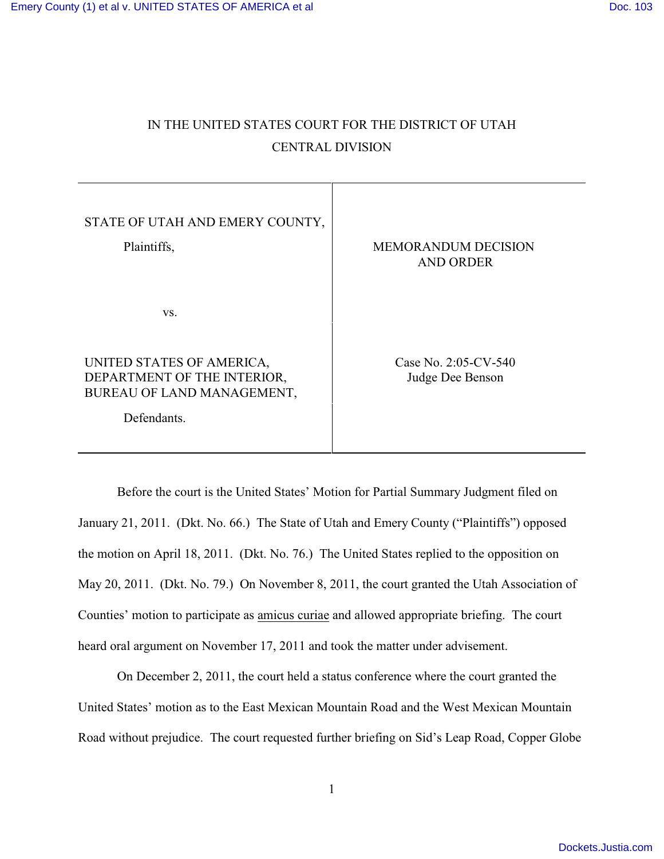# IN THE UNITED STATES COURT FOR THE DISTRICT OF UTAH CENTRAL DIVISION

Т

| STATE OF UTAH AND EMERY COUNTY,<br>Plaintiffs,                                                        | <b>MEMORANDUM DECISION</b><br><b>AND ORDER</b> |
|-------------------------------------------------------------------------------------------------------|------------------------------------------------|
| VS.                                                                                                   |                                                |
| UNITED STATES OF AMERICA,<br>DEPARTMENT OF THE INTERIOR,<br>BUREAU OF LAND MANAGEMENT,<br>Defendants. | Case No. 2:05-CV-540<br>Judge Dee Benson       |

Before the court is the United States' Motion for Partial Summary Judgment filed on January 21, 2011. (Dkt. No. 66.) The State of Utah and Emery County ("Plaintiffs") opposed the motion on April 18, 2011. (Dkt. No. 76.) The United States replied to the opposition on May 20, 2011. (Dkt. No. 79.) On November 8, 2011, the court granted the Utah Association of Counties' motion to participate as amicus curiae and allowed appropriate briefing. The court heard oral argument on November 17, 2011 and took the matter under advisement.

On December 2, 2011, the court held a status conference where the court granted the United States' motion as to the East Mexican Mountain Road and the West Mexican Mountain Road without prejudice. The court requested further briefing on Sid's Leap Road, Copper Globe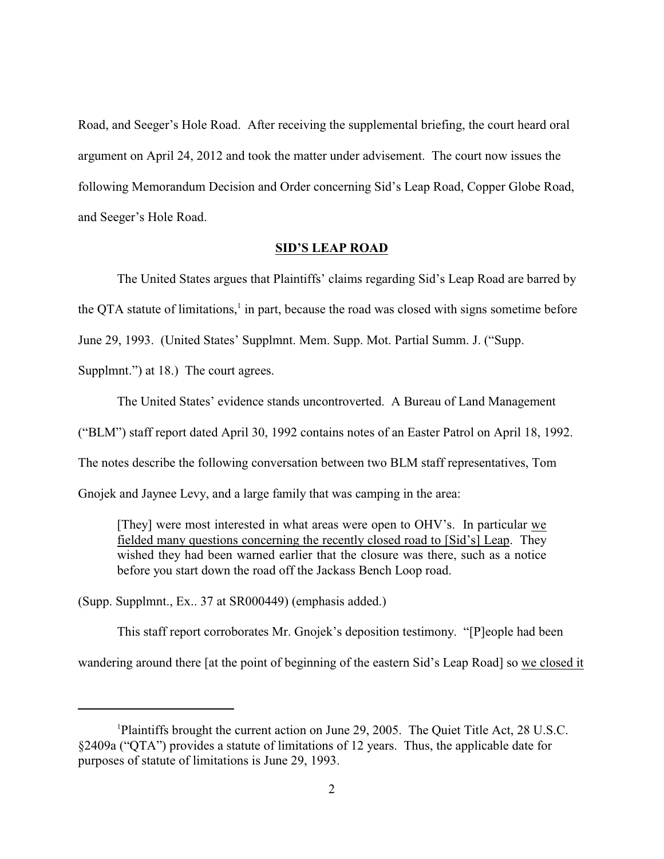Road, and Seeger's Hole Road. After receiving the supplemental briefing, the court heard oral argument on April 24, 2012 and took the matter under advisement. The court now issues the following Memorandum Decision and Order concerning Sid's Leap Road, Copper Globe Road, and Seeger's Hole Road.

## **SID'S LEAP ROAD**

The United States argues that Plaintiffs' claims regarding Sid's Leap Road are barred by the QTA statute of limitations, $<sup>1</sup>$  in part, because the road was closed with signs sometime before</sup>

June 29, 1993. (United States' Supplmnt. Mem. Supp. Mot. Partial Summ. J. ("Supp.

Supplmnt.") at 18.) The court agrees.

The United States' evidence stands uncontroverted. A Bureau of Land Management ("BLM") staff report dated April 30, 1992 contains notes of an Easter Patrol on April 18, 1992. The notes describe the following conversation between two BLM staff representatives, Tom Gnojek and Jaynee Levy, and a large family that was camping in the area:

[They] were most interested in what areas were open to OHV's. In particular we fielded many questions concerning the recently closed road to [Sid's] Leap. They wished they had been warned earlier that the closure was there, such as a notice before you start down the road off the Jackass Bench Loop road.

(Supp. Supplmnt., Ex.. 37 at SR000449) (emphasis added.)

This staff report corroborates Mr. Gnojek's deposition testimony. "[P]eople had been wandering around there [at the point of beginning of the eastern Sid's Leap Road] so we closed it

Plaintiffs brought the current action on June 29, 2005. The Quiet Title Act, 28 U.S.C. §2409a ("QTA") provides a statute of limitations of 12 years. Thus, the applicable date for purposes of statute of limitations is June 29, 1993.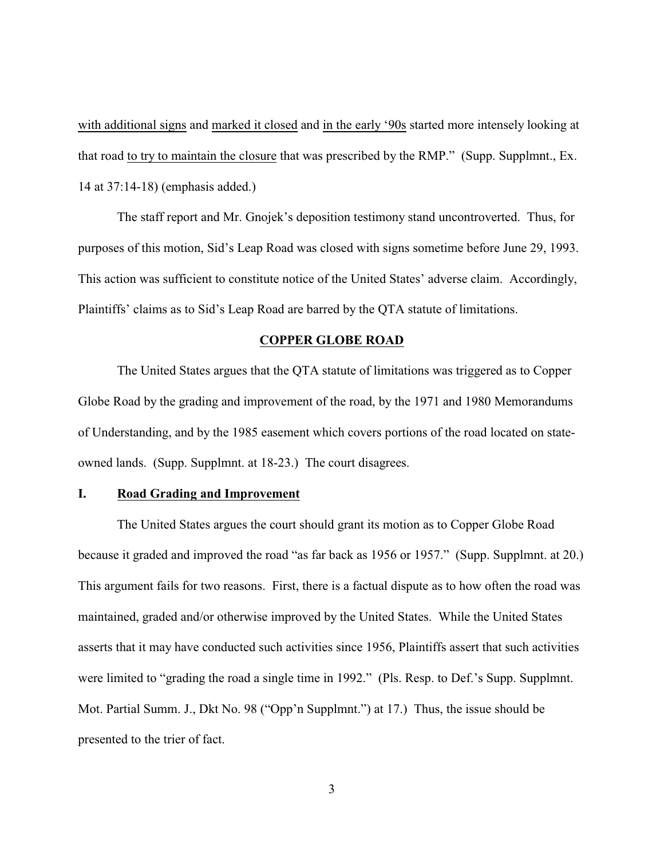with additional signs and marked it closed and in the early '90s started more intensely looking at that road to try to maintain the closure that was prescribed by the RMP." (Supp. Supplmnt., Ex. 14 at 37:14-18) (emphasis added.)

The staff report and Mr. Gnojek's deposition testimony stand uncontroverted. Thus, for purposes of this motion, Sid's Leap Road was closed with signs sometime before June 29, 1993. This action was sufficient to constitute notice of the United States' adverse claim. Accordingly, Plaintiffs' claims as to Sid's Leap Road are barred by the QTA statute of limitations.

# **COPPER GLOBE ROAD**

The United States argues that the QTA statute of limitations was triggered as to Copper Globe Road by the grading and improvement of the road, by the 1971 and 1980 Memorandums of Understanding, and by the 1985 easement which covers portions of the road located on stateowned lands. (Supp. Supplmnt. at 18-23.) The court disagrees.

## **I. Road Grading and Improvement**

The United States argues the court should grant its motion as to Copper Globe Road because it graded and improved the road "as far back as 1956 or 1957." (Supp. Supplmnt. at 20.) This argument fails for two reasons. First, there is a factual dispute as to how often the road was maintained, graded and/or otherwise improved by the United States. While the United States asserts that it may have conducted such activities since 1956, Plaintiffs assert that such activities were limited to "grading the road a single time in 1992." (Pls. Resp. to Def.'s Supp. Supplmnt. Mot. Partial Summ. J., Dkt No. 98 ("Opp'n Supplmnt.") at 17.) Thus, the issue should be presented to the trier of fact.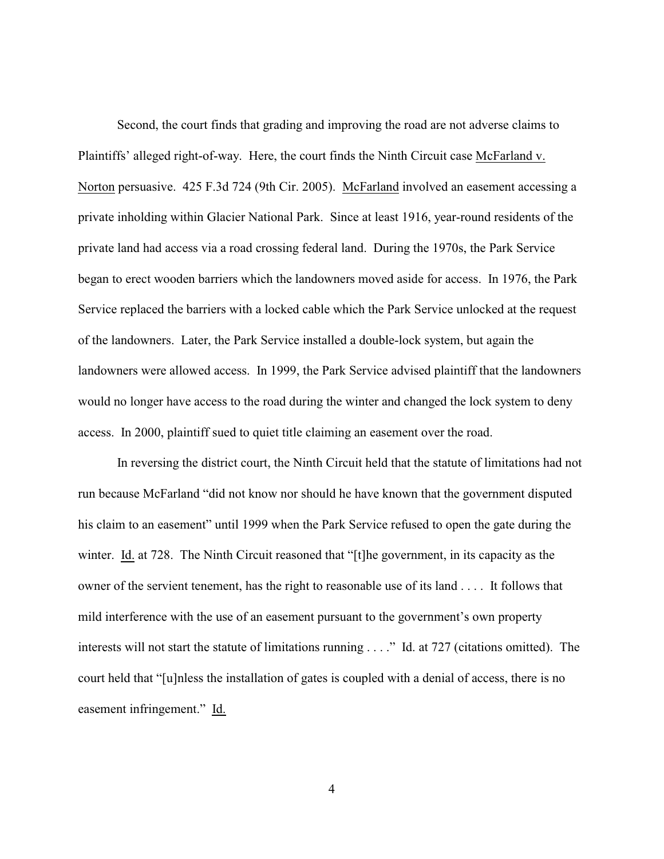Second, the court finds that grading and improving the road are not adverse claims to Plaintiffs' alleged right-of-way. Here, the court finds the Ninth Circuit case McFarland v. Norton persuasive. 425 F.3d 724 (9th Cir. 2005). McFarland involved an easement accessing a private inholding within Glacier National Park. Since at least 1916, year-round residents of the private land had access via a road crossing federal land. During the 1970s, the Park Service began to erect wooden barriers which the landowners moved aside for access. In 1976, the Park Service replaced the barriers with a locked cable which the Park Service unlocked at the request of the landowners. Later, the Park Service installed a double-lock system, but again the landowners were allowed access. In 1999, the Park Service advised plaintiff that the landowners would no longer have access to the road during the winter and changed the lock system to deny access. In 2000, plaintiff sued to quiet title claiming an easement over the road.

In reversing the district court, the Ninth Circuit held that the statute of limitations had not run because McFarland "did not know nor should he have known that the government disputed his claim to an easement" until 1999 when the Park Service refused to open the gate during the winter. Id. at 728. The Ninth Circuit reasoned that "[t] he government, in its capacity as the owner of the servient tenement, has the right to reasonable use of its land . . . . It follows that mild interference with the use of an easement pursuant to the government's own property interests will not start the statute of limitations running . . . ." Id. at 727 (citations omitted). The court held that "[u]nless the installation of gates is coupled with a denial of access, there is no easement infringement." Id.

4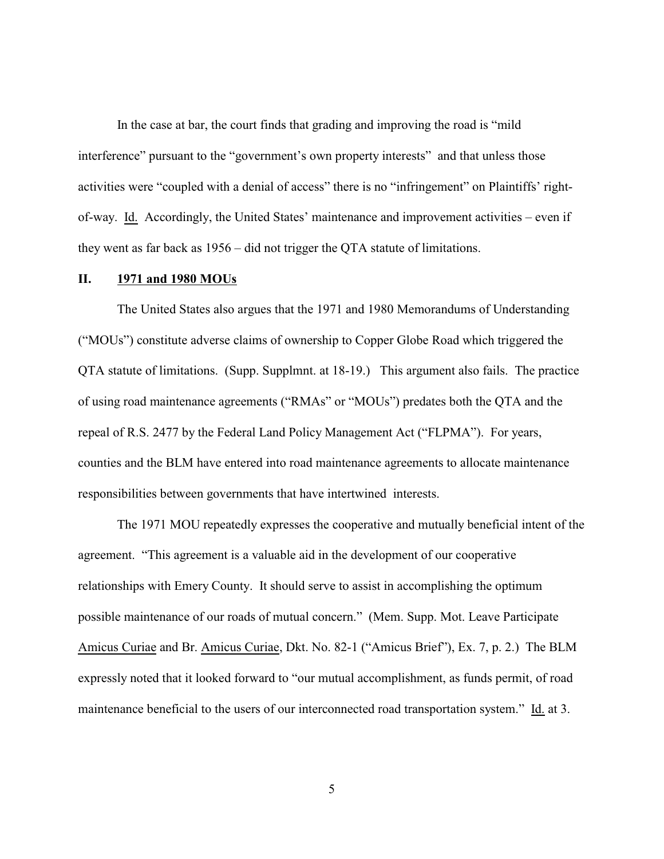In the case at bar, the court finds that grading and improving the road is "mild interference" pursuant to the "government's own property interests" and that unless those activities were "coupled with a denial of access" there is no "infringement" on Plaintiffs' rightof-way. Id. Accordingly, the United States' maintenance and improvement activities – even if they went as far back as 1956 – did not trigger the QTA statute of limitations.

#### **II. 1971 and 1980 MOUs**

The United States also argues that the 1971 and 1980 Memorandums of Understanding ("MOUs") constitute adverse claims of ownership to Copper Globe Road which triggered the QTA statute of limitations. (Supp. Supplmnt. at 18-19.) This argument also fails. The practice of using road maintenance agreements ("RMAs" or "MOUs") predates both the QTA and the repeal of R.S. 2477 by the Federal Land Policy Management Act ("FLPMA"). For years, counties and the BLM have entered into road maintenance agreements to allocate maintenance responsibilities between governments that have intertwined interests.

The 1971 MOU repeatedly expresses the cooperative and mutually beneficial intent of the agreement. "This agreement is a valuable aid in the development of our cooperative relationships with Emery County. It should serve to assist in accomplishing the optimum possible maintenance of our roads of mutual concern." (Mem. Supp. Mot. Leave Participate Amicus Curiae and Br. Amicus Curiae, Dkt. No. 82-1 ("Amicus Brief"), Ex. 7, p. 2.) The BLM expressly noted that it looked forward to "our mutual accomplishment, as funds permit, of road maintenance beneficial to the users of our interconnected road transportation system." Id. at 3.

5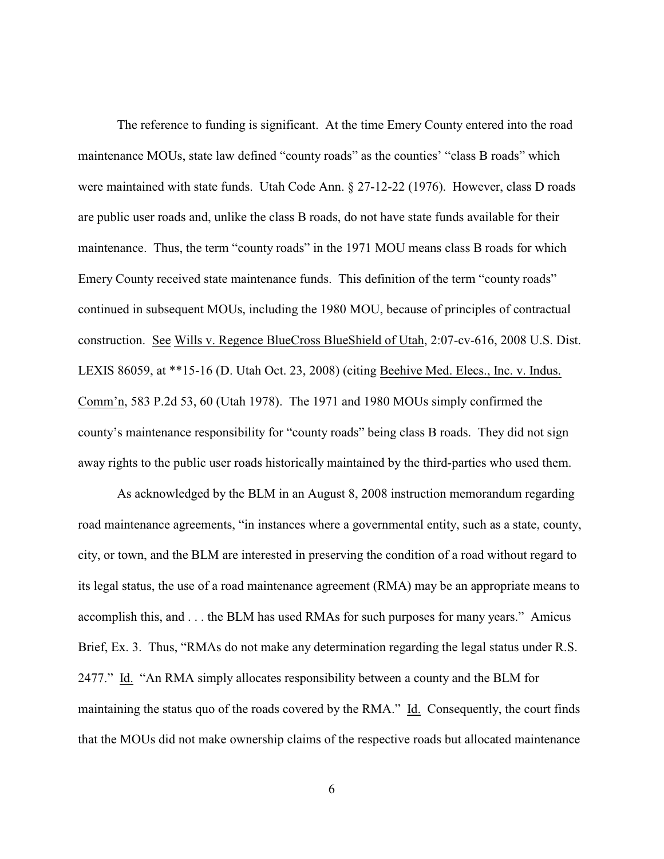The reference to funding is significant. At the time Emery County entered into the road maintenance MOUs, state law defined "county roads" as the counties' "class B roads" which were maintained with state funds. Utah Code Ann. § 27-12-22 (1976). However, class D roads are public user roads and, unlike the class B roads, do not have state funds available for their maintenance. Thus, the term "county roads" in the 1971 MOU means class B roads for which Emery County received state maintenance funds. This definition of the term "county roads" continued in subsequent MOUs, including the 1980 MOU, because of principles of contractual construction. See Wills v. Regence BlueCross BlueShield of Utah, 2:07-cv-616, 2008 U.S. Dist. LEXIS 86059, at \*\*15-16 (D. Utah Oct. 23, 2008) (citing Beehive Med. Elecs., Inc. v. Indus. Comm'n, 583 P.2d 53, 60 (Utah 1978). The 1971 and 1980 MOUs simply confirmed the county's maintenance responsibility for "county roads" being class B roads. They did not sign away rights to the public user roads historically maintained by the third-parties who used them.

As acknowledged by the BLM in an August 8, 2008 instruction memorandum regarding road maintenance agreements, "in instances where a governmental entity, such as a state, county, city, or town, and the BLM are interested in preserving the condition of a road without regard to its legal status, the use of a road maintenance agreement (RMA) may be an appropriate means to accomplish this, and . . . the BLM has used RMAs for such purposes for many years." Amicus Brief, Ex. 3. Thus, "RMAs do not make any determination regarding the legal status under R.S. 2477." Id. "An RMA simply allocates responsibility between a county and the BLM for maintaining the status quo of the roads covered by the RMA." Id. Consequently, the court finds that the MOUs did not make ownership claims of the respective roads but allocated maintenance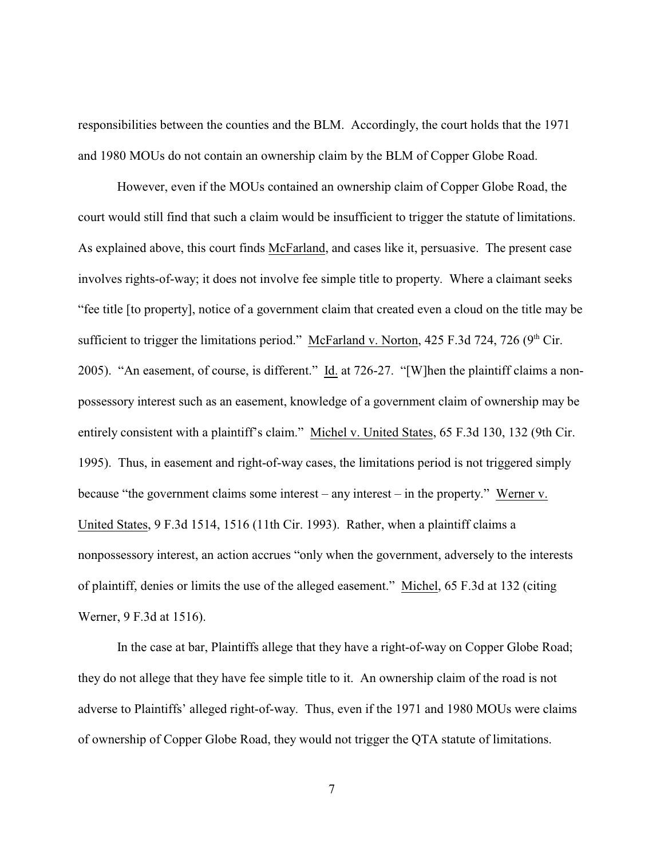responsibilities between the counties and the BLM. Accordingly, the court holds that the 1971 and 1980 MOUs do not contain an ownership claim by the BLM of Copper Globe Road.

However, even if the MOUs contained an ownership claim of Copper Globe Road, the court would still find that such a claim would be insufficient to trigger the statute of limitations. As explained above, this court finds McFarland, and cases like it, persuasive. The present case involves rights-of-way; it does not involve fee simple title to property. Where a claimant seeks "fee title [to property], notice of a government claim that created even a cloud on the title may be sufficient to trigger the limitations period." McFarland v. Norton, 425 F.3d 724, 726 (9<sup>th</sup> Cir. 2005). "An easement, of course, is different." Id. at 726-27. "[W]hen the plaintiff claims a nonpossessory interest such as an easement, knowledge of a government claim of ownership may be entirely consistent with a plaintiff's claim." Michel v. United States, 65 F.3d 130, 132 (9th Cir. 1995). Thus, in easement and right-of-way cases, the limitations period is not triggered simply because "the government claims some interest – any interest – in the property." Werner v. United States, 9 F.3d 1514, 1516 (11th Cir. 1993). Rather, when a plaintiff claims a nonpossessory interest, an action accrues "only when the government, adversely to the interests of plaintiff, denies or limits the use of the alleged easement." Michel, 65 F.3d at 132 (citing Werner, 9 F.3d at 1516).

In the case at bar, Plaintiffs allege that they have a right-of-way on Copper Globe Road; they do not allege that they have fee simple title to it. An ownership claim of the road is not adverse to Plaintiffs' alleged right-of-way. Thus, even if the 1971 and 1980 MOUs were claims of ownership of Copper Globe Road, they would not trigger the QTA statute of limitations.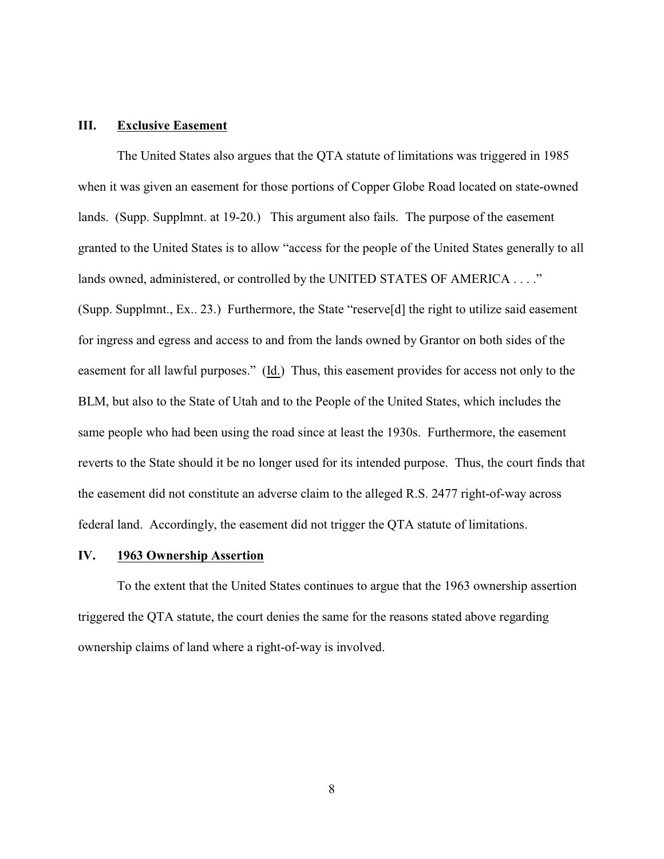# **III. Exclusive Easement**

The United States also argues that the QTA statute of limitations was triggered in 1985 when it was given an easement for those portions of Copper Globe Road located on state-owned lands. (Supp. Supplmnt. at 19-20.) This argument also fails. The purpose of the easement granted to the United States is to allow "access for the people of the United States generally to all lands owned, administered, or controlled by the UNITED STATES OF AMERICA . . . ." (Supp. Supplmnt., Ex.. 23.) Furthermore, the State "reserve[d] the right to utilize said easement for ingress and egress and access to and from the lands owned by Grantor on both sides of the easement for all lawful purposes." (Id.) Thus, this easement provides for access not only to the BLM, but also to the State of Utah and to the People of the United States, which includes the same people who had been using the road since at least the 1930s. Furthermore, the easement reverts to the State should it be no longer used for its intended purpose. Thus, the court finds that the easement did not constitute an adverse claim to the alleged R.S. 2477 right-of-way across federal land. Accordingly, the easement did not trigger the QTA statute of limitations.

# **IV. 1963 Ownership Assertion**

To the extent that the United States continues to argue that the 1963 ownership assertion triggered the QTA statute, the court denies the same for the reasons stated above regarding ownership claims of land where a right-of-way is involved.

8